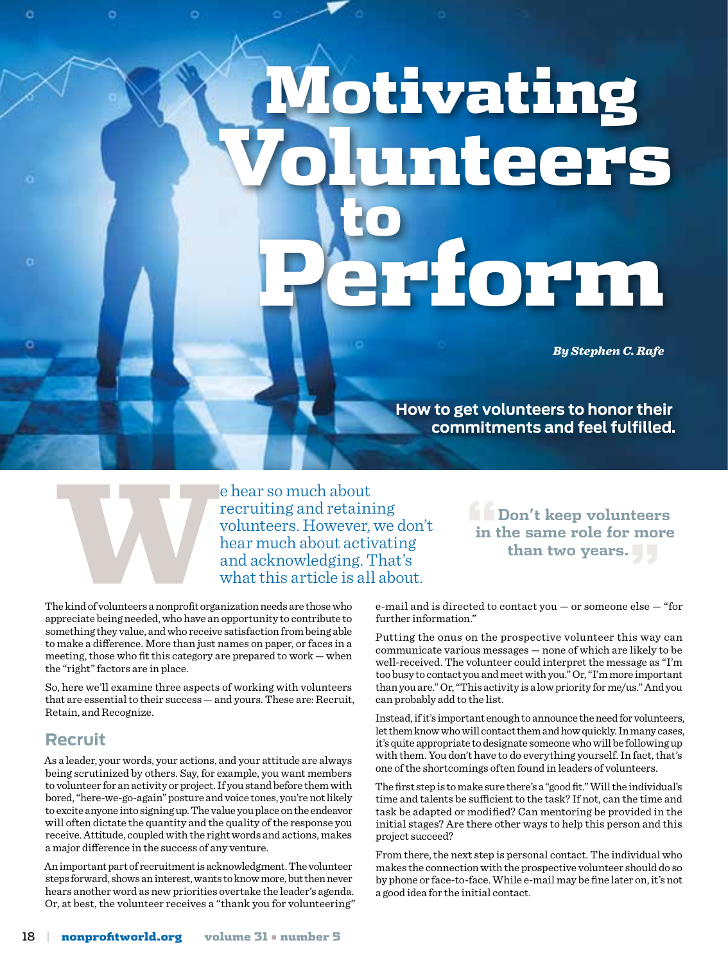# Motivating Volunteers **to** Perform

*By Stephen C. Rafe*

**How to get volunteers to honor their commitments and feel fulfilled.**

e hear so much about<br>recruiting and retain:<br>volunteers. However,<br>hear much about active<br>and acknowledging. T<br>what this article is all<br>ne kind of volunteers a nonprofit organization needs are those who<br>preciate heing needed recruiting and retaining volunteers. However, we don't hear much about activating and acknowledging. That's what this article is all about.

The kind of volunteers a nonprofit organization needs are those who appreciate being needed, who have an opportunity to contribute to something they value, and who receive satisfaction from being able to make a difference. More than just names on paper, or faces in a meeting, those who fit this category are prepared to work — when the "right" factors are in place.

So, here we'll examine three aspects of working with volunteers that are essential to their success — and yours. These are: Recruit, Retain, and Recognize.

## **Recruit**

As a leader, your words, your actions, and your attitude are always being scrutinized by others. Say, for example, you want members to volunteer for an activity or project. If you stand before them with bored, "here-we-go-again" posture and voice tones, you're not likely to excite anyone into signing up. The value you place on the endeavor will often dictate the quantity and the quality of the response you receive. Attitude, coupled with the right words and actions, makes a major difference in the success of any venture.

An important part of recruitment is acknowledgment. The volunteer steps forward, shows an interest, wants to know more, but then never hears another word as new priorities overtake the leader's agenda. Or, at best, the volunteer receives a "thank you for volunteering" **"Don't keep volunteers in the same role for more than two years."**

e-mail and is directed to contact you — or someone else — "for further information."

Putting the onus on the prospective volunteer this way can communicate various messages — none of which are likely to be well-received. The volunteer could interpret the message as "I'm too busy to contact you and meet with you." Or, "I'm more important than you are." Or, "This activity is a low priority for me/us." And you can probably add to the list.

Instead, if it's important enough to announce the need for volunteers, let them know who will contact them and how quickly. In many cases, it's quite appropriate to designate someone who will be following up with them. You don't have to do everything yourself. In fact, that's one of the shortcomings often found in leaders of volunteers.

The first step is to make sure there's a "good fit." Will the individual's time and talents be sufficient to the task? If not, can the time and task be adapted or modified? Can mentoring be provided in the initial stages? Are there other ways to help this person and this project succeed?

From there, the next step is personal contact. The individual who makes the connection with the prospective volunteer should do so by phone or face-to-face. While e-mail may be fine later on, it's not a good idea for the initial contact.